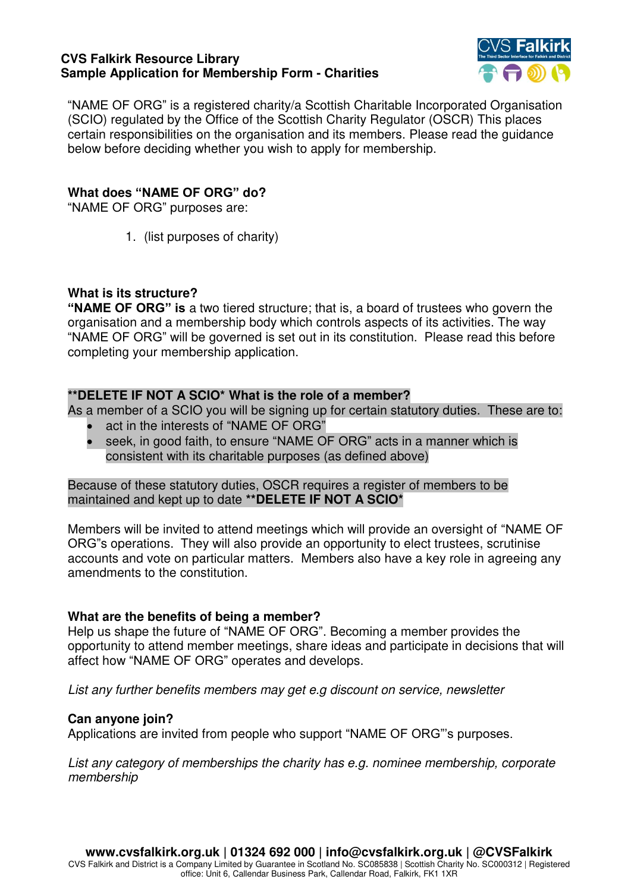#### **CVS Falkirk Resource Library Sample Application for Membership Form - Charities**



"NAME OF ORG" is a registered charity/a Scottish Charitable Incorporated Organisation (SCIO) regulated by the Office of the Scottish Charity Regulator (OSCR) This places certain responsibilities on the organisation and its members. Please read the guidance below before deciding whether you wish to apply for membership.

## **What does "NAME OF ORG" do?**

"NAME OF ORG" purposes are:

1. (list purposes of charity)

## **What is its structure?**

**"NAME OF ORG" is** a two tiered structure; that is, a board of trustees who govern the organisation and a membership body which controls aspects of its activities. The way "NAME OF ORG" will be governed is set out in its constitution. Please read this before completing your membership application.

## **\*\*DELETE IF NOT A SCIO\* What is the role of a member?**

As a member of a SCIO you will be signing up for certain statutory duties. These are to:

- act in the interests of "NAME OF ORG"
- seek, in good faith, to ensure "NAME OF ORG" acts in a manner which is consistent with its charitable purposes (as defined above)

Because of these statutory duties, OSCR requires a register of members to be maintained and kept up to date **\*\*DELETE IF NOT A SCIO\***

Members will be invited to attend meetings which will provide an oversight of "NAME OF ORG"s operations. They will also provide an opportunity to elect trustees, scrutinise accounts and vote on particular matters. Members also have a key role in agreeing any amendments to the constitution.

#### **What are the benefits of being a member?**

Help us shape the future of "NAME OF ORG". Becoming a member provides the opportunity to attend member meetings, share ideas and participate in decisions that will affect how "NAME OF ORG" operates and develops.

*List any further benefits members may get e.g discount on service, newsletter* 

#### **Can anyone join?**

Applications are invited from people who support "NAME OF ORG"'s purposes.

*List any category of memberships the charity has e.g. nominee membership, corporate membership*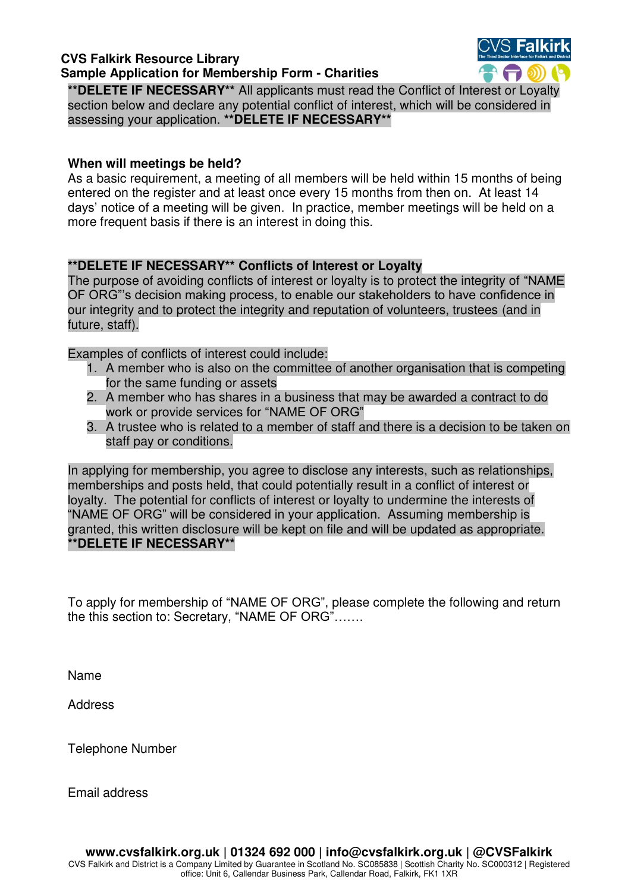# **CVS Falkirk Resource Library Sample Application for Membership Form - Charities**



**\*\*DELETE IF NECESSARY\*\*** All applicants must read the Conflict of Interest or Loyalty section below and declare any potential conflict of interest, which will be considered in assessing your application. **\*\*DELETE IF NECESSARY\*\***

### **When will meetings be held?**

As a basic requirement, a meeting of all members will be held within 15 months of being entered on the register and at least once every 15 months from then on. At least 14 days' notice of a meeting will be given. In practice, member meetings will be held on a more frequent basis if there is an interest in doing this.

## **\*\*DELETE IF NECESSARY\*\* Conflicts of Interest or Loyalty**

The purpose of avoiding conflicts of interest or loyalty is to protect the integrity of "NAME OF ORG"'s decision making process, to enable our stakeholders to have confidence in our integrity and to protect the integrity and reputation of volunteers, trustees (and in future, staff).

Examples of conflicts of interest could include:

- 1. A member who is also on the committee of another organisation that is competing for the same funding or assets
- 2. A member who has shares in a business that may be awarded a contract to do work or provide services for "NAME OF ORG"
- 3. A trustee who is related to a member of staff and there is a decision to be taken on staff pay or conditions.

In applying for membership, you agree to disclose any interests, such as relationships, memberships and posts held, that could potentially result in a conflict of interest or loyalty. The potential for conflicts of interest or loyalty to undermine the interests of "NAME OF ORG" will be considered in your application. Assuming membership is granted, this written disclosure will be kept on file and will be updated as appropriate. **\*\*DELETE IF NECESSARY\*\*** 

To apply for membership of "NAME OF ORG", please complete the following and return the this section to: Secretary, "NAME OF ORG"…….

Name

**Address** 

Telephone Number

Email address